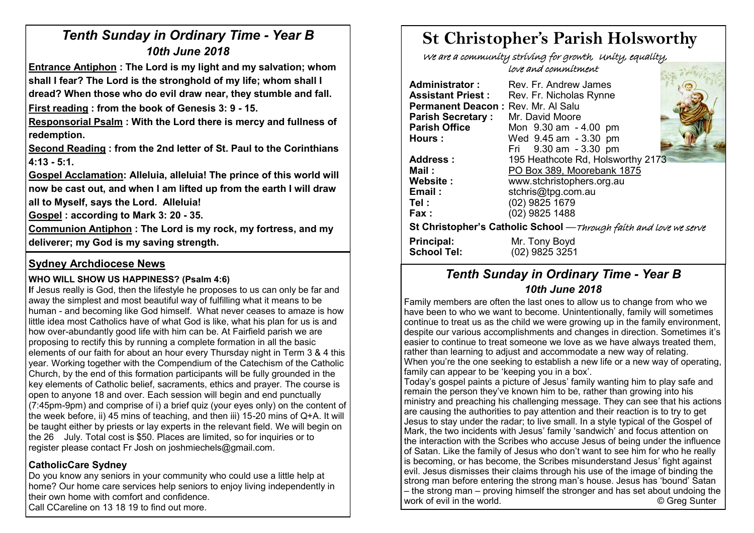# *Tenth Sunday in Ordinary Time - Year B 10th June 2018*

**Entrance Antiphon : The Lord is my light and my salvation; whom shall I fear? The Lord is the stronghold of my life; whom shall I dread? When those who do evil draw near, they stumble and fall.**

**First reading : from the book of Genesis 3: 9 - 15.**

**Responsorial Psalm : With the Lord there is mercy and fullness of redemption.** 

**Second Reading : from the 2nd letter of St. Paul to the Corinthians 4:13 - 5:1.** 

**Gospel Acclamation: Alleluia, alleluia! The prince of this world will now be cast out, and when I am lifted up from the earth I will draw** 

**all to Myself, says the Lord. Alleluia!** 

**Gospel : according to Mark 3: 20 - 35.** 

**Communion Antiphon : The Lord is my rock, my fortress, and my deliverer; my God is my saving strength.**

# **Sydney Archdiocese News**

#### **WHO WILL SHOW US HAPPINESS? (Psalm 4:6)**

**I**f Jesus really is God, then the lifestyle he proposes to us can only be far and away the simplest and most beautiful way of fulfilling what it means to be human - and becoming like God himself. What never ceases to amaze is how little idea most Catholics have of what God is like, what his plan for us is and how over-abundantly good life with him can be. At Fairfield parish we are proposing to rectify this by running a complete formation in all the basic elements of our faith for about an hour every Thursday night in Term 3 & 4 this year. Working together with the Compendium of the Catechism of the Catholic Church, by the end of this formation participants will be fully grounded in the key elements of Catholic belief, sacraments, ethics and prayer. The course is open to anyone 18 and over. Each session will begin and end punctually (7:45pm-9pm) and comprise of i) a brief quiz (your eyes only) on the content of the week before, ii) 45 mins of teaching, and then iii) 15-20 mins of Q+A. It will be taught either by priests or lay experts in the relevant field. We will begin on the 26 July. Total cost is \$50. Places are limited, so for inquiries or to register please contact Fr Josh on joshmiechels@gmail.com.

# **CatholicCare Sydney**

Do you know any seniors in your community who could use a little help at home? Our home care services help seniors to enjoy living independently in their own home with comfort and confidence. Call CCareline on 13 18 19 to find out more.

# **St Christopher's Parish Holsworthy**

 We are a community striving for growth, Unity, equality, love and commitment Sie Berton

| Administrator:                                                     | Rev. Fr. Andrew James             |  |  |  |  |
|--------------------------------------------------------------------|-----------------------------------|--|--|--|--|
| <b>Assistant Priest:</b>                                           | Rev. Fr. Nicholas Rynne           |  |  |  |  |
| Permanent Deacon: Rev. Mr. Al Salu                                 | Mr. David Moore                   |  |  |  |  |
| <b>Parish Secretary:</b>                                           | Mon 9.30 am - 4.00 pm             |  |  |  |  |
| <b>Parish Office</b>                                               | Wed 9.45 am - 3.30 pm             |  |  |  |  |
| Hours :                                                            | Fri 9.30 am - 3.30 pm             |  |  |  |  |
| Address:                                                           | 195 Heathcote Rd, Holsworthy 2173 |  |  |  |  |
| Mail:                                                              | PO Box 389, Moorebank 1875        |  |  |  |  |
| Website:                                                           | www.stchristophers.org.au         |  |  |  |  |
| Email:                                                             | stchris@tpg.com.au                |  |  |  |  |
| Tel :                                                              | (02) 9825 1679                    |  |  |  |  |
| Fax :                                                              | (02) 9825 1488                    |  |  |  |  |
| St Christopher's Catholic School - Through faith and love we serve |                                   |  |  |  |  |
| <b>Principal:</b>                                                  | Mr. Tony Boyd                     |  |  |  |  |
| <b>School Tel:</b>                                                 | (02) 9825 3251                    |  |  |  |  |

# *Tenth Sunday in Ordinary Time - Year B 10th June 2018*

Family members are often the last ones to allow us to change from who we have been to who we want to become. Unintentionally, family will sometimes continue to treat us as the child we were growing up in the family environment, despite our various accomplishments and changes in direction. Sometimes it's easier to continue to treat someone we love as we have always treated them. rather than learning to adjust and accommodate a new way of relating. When you're the one seeking to establish a new life or a new way of operating, family can appear to be 'keeping you in a box'.

Today's gospel paints a picture of Jesus' family wanting him to play safe and remain the person they've known him to be, rather than growing into his ministry and preaching his challenging message. They can see that his actions are causing the authorities to pay attention and their reaction is to try to get Jesus to stay under the radar; to live small. In a style typical of the Gospel of Mark, the two incidents with Jesus' family 'sandwich' and focus attention on the interaction with the Scribes who accuse Jesus of being under the influence of Satan. Like the family of Jesus who don't want to see him for who he really is becoming, or has become, the Scribes misunderstand Jesus' fight against evil. Jesus dismisses their claims through his use of the image of binding the strong man before entering the strong man's house. Jesus has 'bound' Satan – the strong man – proving himself the stronger and has set about undoing the work of evil in the world. **Example 20** Suppose the world of the world.